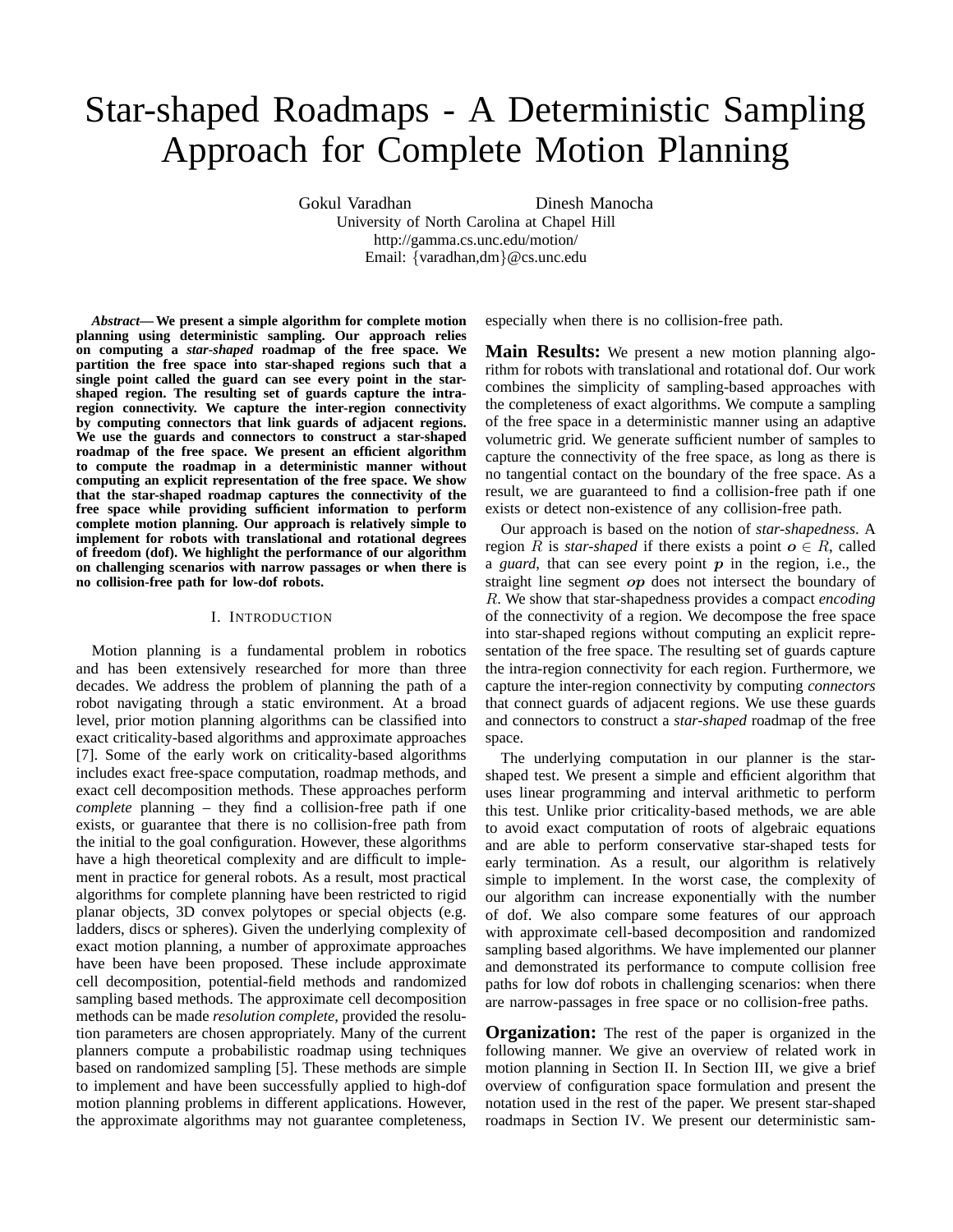# Star-shaped Roadmaps - A Deterministic Sampling Approach for Complete Motion Planning

Gokul Varadhan Dinesh Manocha

University of North Carolina at Chapel Hill http://gamma.cs.unc.edu/motion/ Email: {varadhan,dm}@cs.unc.edu

*Abstract***—We present a simple algorithm for complete motion planning using deterministic sampling. Our approach relies on computing a** *star-shaped* **roadmap of the free space. We partition the free space into star-shaped regions such that a single point called the guard can see every point in the starshaped region. The resulting set of guards capture the intraregion connectivity. We capture the inter-region connectivity by computing connectors that link guards of adjacent regions. We use the guards and connectors to construct a star-shaped roadmap of the free space. We present an efficient algorithm to compute the roadmap in a deterministic manner without computing an explicit representation of the free space. We show that the star-shaped roadmap captures the connectivity of the free space while providing sufficient information to perform complete motion planning. Our approach is relatively simple to implement for robots with translational and rotational degrees of freedom (dof). We highlight the performance of our algorithm on challenging scenarios with narrow passages or when there is no collision-free path for low-dof robots.**

# I. INTRODUCTION

Motion planning is a fundamental problem in robotics and has been extensively researched for more than three decades. We address the problem of planning the path of a robot navigating through a static environment. At a broad level, prior motion planning algorithms can be classified into exact criticality-based algorithms and approximate approaches [7]. Some of the early work on criticality-based algorithms includes exact free-space computation, roadmap methods, and exact cell decomposition methods. These approaches perform *complete* planning – they find a collision-free path if one exists, or guarantee that there is no collision-free path from the initial to the goal configuration. However, these algorithms have a high theoretical complexity and are difficult to implement in practice for general robots. As a result, most practical algorithms for complete planning have been restricted to rigid planar objects, 3D convex polytopes or special objects (e.g. ladders, discs or spheres). Given the underlying complexity of exact motion planning, a number of approximate approaches have been have been proposed. These include approximate cell decomposition, potential-field methods and randomized sampling based methods. The approximate cell decomposition methods can be made *resolution complete*, provided the resolution parameters are chosen appropriately. Many of the current planners compute a probabilistic roadmap using techniques based on randomized sampling [5]. These methods are simple to implement and have been successfully applied to high-dof motion planning problems in different applications. However, the approximate algorithms may not guarantee completeness, especially when there is no collision-free path.

**Main Results:** We present a new motion planning algorithm for robots with translational and rotational dof. Our work combines the simplicity of sampling-based approaches with the completeness of exact algorithms. We compute a sampling of the free space in a deterministic manner using an adaptive volumetric grid. We generate sufficient number of samples to capture the connectivity of the free space, as long as there is no tangential contact on the boundary of the free space. As a result, we are guaranteed to find a collision-free path if one exists or detect non-existence of any collision-free path.

Our approach is based on the notion of *star-shapedness*. A region R is *star-shaped* if there exists a point  $o \in R$ , called a *guard*, that can see every point  $p$  in the region, i.e., the straight line segment *op* does not intersect the boundary of R. We show that star-shapedness provides a compact *encoding* of the connectivity of a region. We decompose the free space into star-shaped regions without computing an explicit representation of the free space. The resulting set of guards capture the intra-region connectivity for each region. Furthermore, we capture the inter-region connectivity by computing *connectors* that connect guards of adjacent regions. We use these guards and connectors to construct a *star-shaped* roadmap of the free space.

The underlying computation in our planner is the starshaped test. We present a simple and efficient algorithm that uses linear programming and interval arithmetic to perform this test. Unlike prior criticality-based methods, we are able to avoid exact computation of roots of algebraic equations and are able to perform conservative star-shaped tests for early termination. As a result, our algorithm is relatively simple to implement. In the worst case, the complexity of our algorithm can increase exponentially with the number of dof. We also compare some features of our approach with approximate cell-based decomposition and randomized sampling based algorithms. We have implemented our planner and demonstrated its performance to compute collision free paths for low dof robots in challenging scenarios: when there are narrow-passages in free space or no collision-free paths.

**Organization:** The rest of the paper is organized in the following manner. We give an overview of related work in motion planning in Section II. In Section III, we give a brief overview of configuration space formulation and present the notation used in the rest of the paper. We present star-shaped roadmaps in Section IV. We present our deterministic sam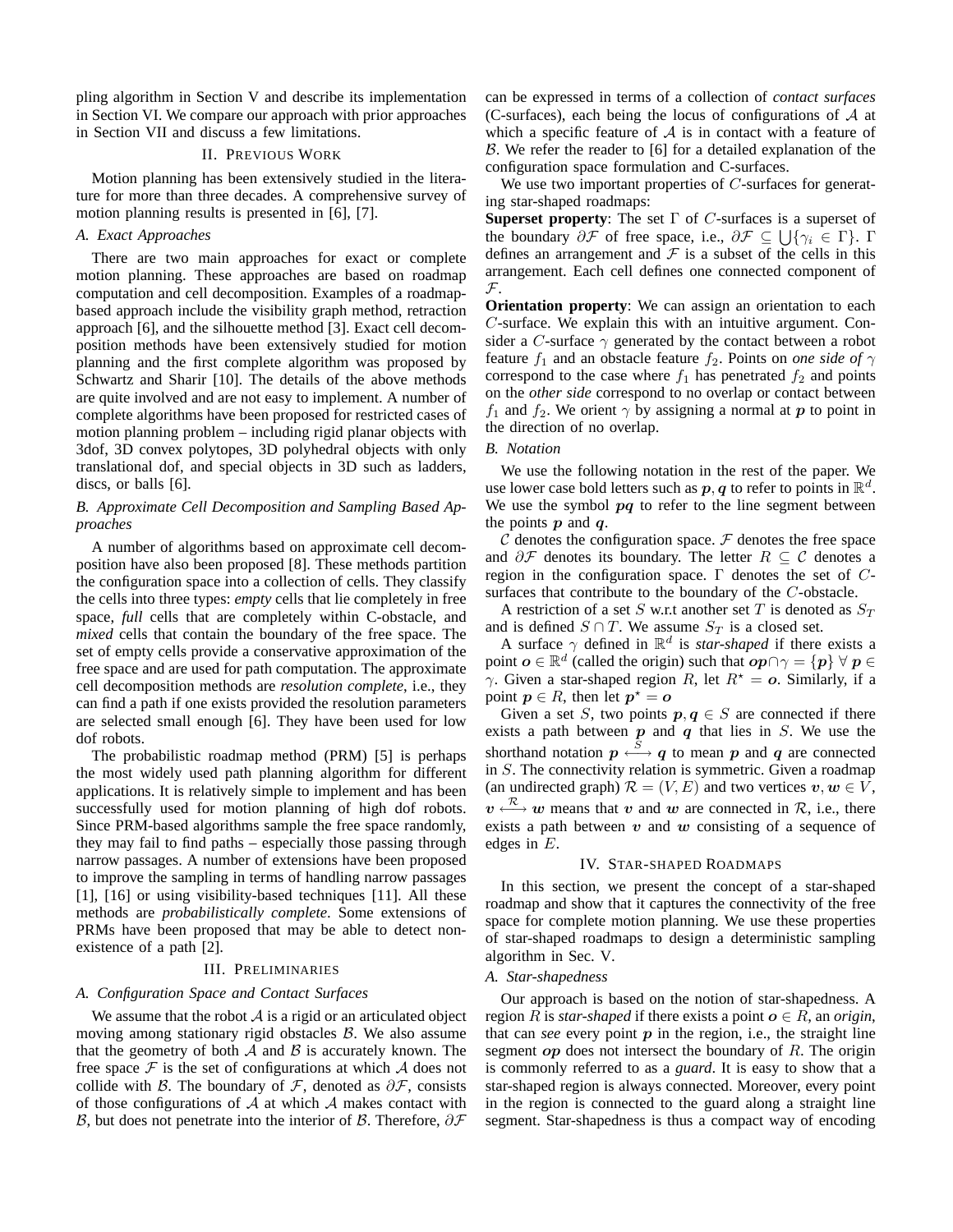pling algorithm in Section V and describe its implementation in Section VI. We compare our approach with prior approaches in Section VII and discuss a few limitations.

# II. PREVIOUS WORK

Motion planning has been extensively studied in the literature for more than three decades. A comprehensive survey of motion planning results is presented in [6], [7].

#### *A. Exact Approaches*

There are two main approaches for exact or complete motion planning. These approaches are based on roadmap computation and cell decomposition. Examples of a roadmapbased approach include the visibility graph method, retraction approach [6], and the silhouette method [3]. Exact cell decomposition methods have been extensively studied for motion planning and the first complete algorithm was proposed by Schwartz and Sharir [10]. The details of the above methods are quite involved and are not easy to implement. A number of complete algorithms have been proposed for restricted cases of motion planning problem – including rigid planar objects with 3dof, 3D convex polytopes, 3D polyhedral objects with only translational dof, and special objects in 3D such as ladders, discs, or balls [6].

# *B. Approximate Cell Decomposition and Sampling Based Approaches*

A number of algorithms based on approximate cell decomposition have also been proposed [8]. These methods partition the configuration space into a collection of cells. They classify the cells into three types: *empty* cells that lie completely in free space, *full* cells that are completely within C-obstacle, and *mixed* cells that contain the boundary of the free space. The set of empty cells provide a conservative approximation of the free space and are used for path computation. The approximate cell decomposition methods are *resolution complete*, i.e., they can find a path if one exists provided the resolution parameters are selected small enough [6]. They have been used for low dof robots.

The probabilistic roadmap method (PRM) [5] is perhaps the most widely used path planning algorithm for different applications. It is relatively simple to implement and has been successfully used for motion planning of high dof robots. Since PRM-based algorithms sample the free space randomly, they may fail to find paths – especially those passing through narrow passages. A number of extensions have been proposed to improve the sampling in terms of handling narrow passages [1], [16] or using visibility-based techniques [11]. All these methods are *probabilistically complete*. Some extensions of PRMs have been proposed that may be able to detect nonexistence of a path [2].

#### III. PRELIMINARIES

# *A. Configuration Space and Contact Surfaces*

We assume that the robot  $A$  is a rigid or an articulated object moving among stationary rigid obstacles  $\beta$ . We also assume that the geometry of both  $A$  and  $B$  is accurately known. The free space  $\mathcal F$  is the set of configurations at which  $\mathcal A$  does not collide with B. The boundary of  $\mathcal{F}$ , denoted as  $\partial \mathcal{F}$ , consists of those configurations of  $A$  at which  $A$  makes contact with B, but does not penetrate into the interior of B. Therefore,  $\partial \mathcal{F}$ 

can be expressed in terms of a collection of *contact surfaces* (C-surfaces), each being the locus of configurations of  $A$  at which a specific feature of  $A$  is in contact with a feature of B. We refer the reader to [6] for a detailed explanation of the configuration space formulation and C-surfaces.

We use two important properties of C-surfaces for generating star-shaped roadmaps:

**Superset property**: The set Γ of C-surfaces is a superset of the boundary  $\partial \mathcal{F}$  of free space, i.e.,  $\partial \mathcal{F} \subseteq \bigcup \{\gamma_i \in \Gamma\}$ .  $\Gamma$ defines an arrangement and  $\mathcal F$  is a subset of the cells in this arrangement. Each cell defines one connected component of  $\mathcal{F}.$ 

**Orientation property**: We can assign an orientation to each C-surface. We explain this with an intuitive argument. Consider a C-surface  $\gamma$  generated by the contact between a robot feature  $f_1$  and an obstacle feature  $f_2$ . Points on *one* side of  $\gamma$ correspond to the case where  $f_1$  has penetrated  $f_2$  and points on the *other side* correspond to no overlap or contact between  $f_1$  and  $f_2$ . We orient  $\gamma$  by assigning a normal at p to point in the direction of no overlap.

#### *B. Notation*

We use the following notation in the rest of the paper. We use lower case bold letters such as  $p, q$  to refer to points in  $\mathbb{R}^d$ . We use the symbol  $pq$  to refer to the line segment between the points  $p$  and  $q$ .

 $\mathcal C$  denotes the configuration space.  $\mathcal F$  denotes the free space and  $\partial \mathcal{F}$  denotes its boundary. The letter  $R \subseteq \mathcal{C}$  denotes a region in the configuration space. Γ denotes the set of  $C$ surfaces that contribute to the boundary of the C-obstacle.

A restriction of a set S w.r.t another set T is denoted as  $S_T$ and is defined  $S \cap T$ . We assume  $S_T$  is a closed set.

A surface  $\gamma$  defined in  $\mathbb{R}^d$  is *star-shaped* if there exists a point  $o \in \mathbb{R}^d$  (called the origin) such that  $op \cap \gamma = \{p\} \ \forall \ p \in$ γ. Given a star-shaped region R, let  $R^* = o$ . Similarly, if a point  $p \in R$ , then let  $p^* = o$ 

Given a set S, two points  $p, q \in S$  are connected if there exists a path between  $p$  and  $q$  that lies in  $S$ . We use the shorthand notation  $p \stackrel{S}{\longleftrightarrow} q$  to mean p and q are connected in S. The connectivity relation is symmetric. Given a roadmap (an undirected graph)  $\mathcal{R} = (V, E)$  and two vertices  $v, w \in V$ ,  $v \stackrel{\mathcal{R}}{\longleftrightarrow} w$  means that v and w are connected in  $\mathcal{R}$ , i.e., there exists a path between  $v$  and  $w$  consisting of a sequence of edges in E.

#### IV. STAR-SHAPED ROADMAPS

In this section, we present the concept of a star-shaped roadmap and show that it captures the connectivity of the free space for complete motion planning. We use these properties of star-shaped roadmaps to design a deterministic sampling algorithm in Sec. V.

#### *A. Star-shapedness*

Our approach is based on the notion of star-shapedness. A region R is *star-shaped* if there exists a point  $o \in R$ , an *origin*, that can *see* every point  $p$  in the region, i.e., the straight line segment  $op$  does not intersect the boundary of  $R$ . The origin is commonly referred to as a *guard*. It is easy to show that a star-shaped region is always connected. Moreover, every point in the region is connected to the guard along a straight line segment. Star-shapedness is thus a compact way of encoding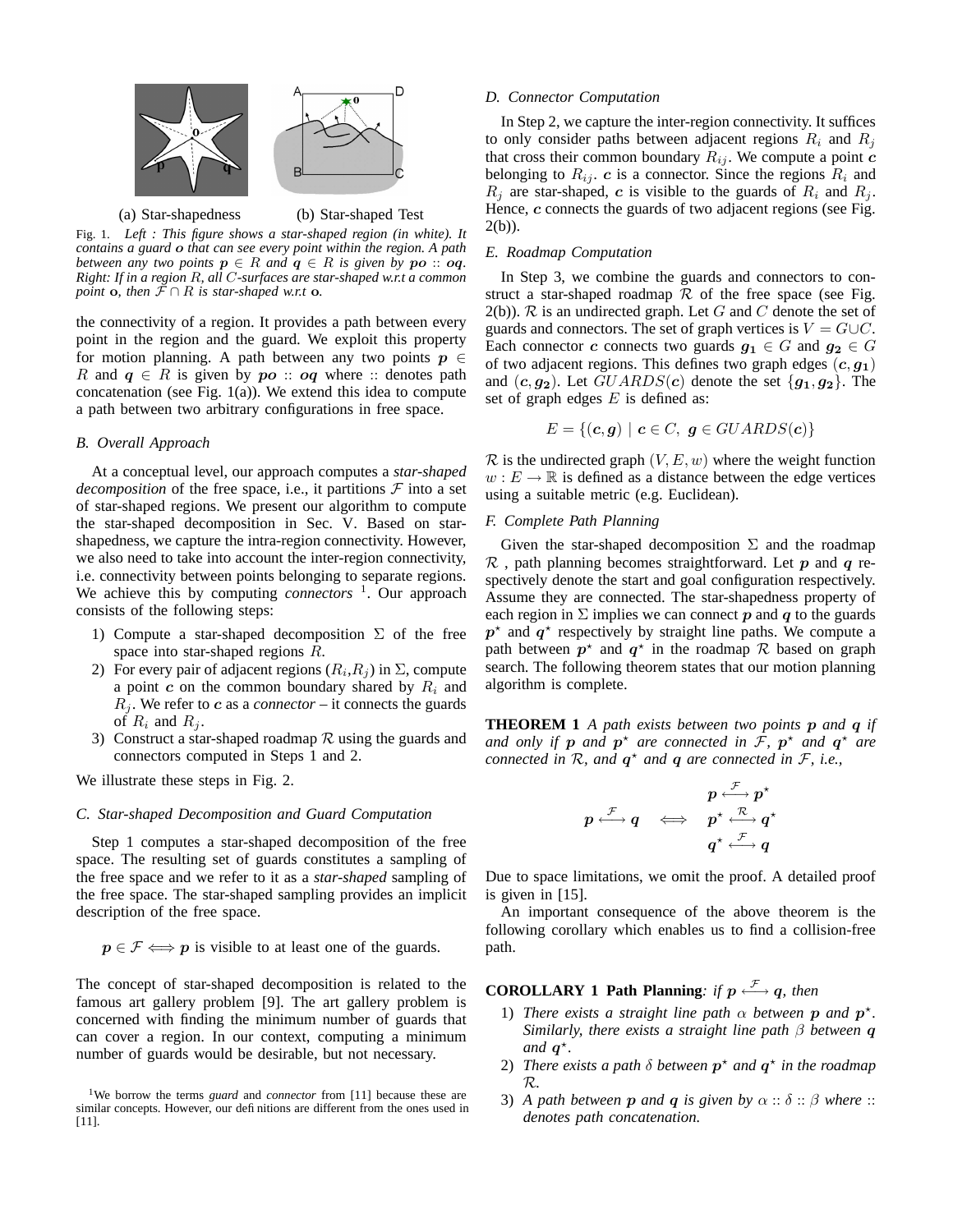

(a) Star-shapedness (b) Star-shaped Test

Fig. 1. *Left : This figure shows a star-shaped region (in white). It contains a guard* o *that can see every point within the region. A path between any two points*  $p \in R$  *and*  $q \in R$  *is given by*  $po :: oq$ . *Right: If in a region* R*, all* C*-surfaces are star-shaped w.r.t a common point* **o**, *then*  $F \cap R$  *is star-shaped w.r.t* **o.** 

the connectivity of a region. It provides a path between every point in the region and the guard. We exploit this property for motion planning. A path between any two points  $p \in$ R and  $q \in R$  is given by  $po :: oq$  where :: denotes path concatenation (see Fig.  $1(a)$ ). We extend this idea to compute a path between two arbitrary configurations in free space.

# *B. Overall Approach*

At a conceptual level, our approach computes a *star-shaped decomposition* of the free space, i.e., it partitions  $\mathcal F$  into a set of star-shaped regions. We present our algorithm to compute the star-shaped decomposition in Sec. V. Based on starshapedness, we capture the intra-region connectivity. However, we also need to take into account the inter-region connectivity, i.e. connectivity between points belonging to separate regions. We achieve this by computing *connectors* 1 . Our approach consists of the following steps:

- 1) Compute a star-shaped decomposition  $\Sigma$  of the free space into star-shaped regions R.
- 2) For every pair of adjacent regions  $(R_i, R_j)$  in  $\Sigma$ , compute a point  $c$  on the common boundary shared by  $R_i$  and  $R_i$ . We refer to c as a *connector* – it connects the guards of  $R_i$  and  $R_j$ .
- 3) Construct a star-shaped roadmap  $\mathcal R$  using the guards and connectors computed in Steps 1 and 2.

We illustrate these steps in Fig. 2.

#### *C. Star-shaped Decomposition and Guard Computation*

Step 1 computes a star-shaped decomposition of the free space. The resulting set of guards constitutes a sampling of the free space and we refer to it as a *star-shaped* sampling of the free space. The star-shaped sampling provides an implicit description of the free space.

 $p \in \mathcal{F} \Longleftrightarrow p$  is visible to at least one of the guards.

The concept of star-shaped decomposition is related to the famous art gallery problem [9]. The art gallery problem is concerned with finding the minimum number of guards that can cover a region. In our context, computing a minimum number of guards would be desirable, but not necessary.

#### *D. Connector Computation*

In Step 2, we capture the inter-region connectivity. It suffices to only consider paths between adjacent regions  $R_i$  and  $R_j$ that cross their common boundary  $R_{ij}$ . We compute a point  $c$ belonging to  $R_{ij}$ . c is a connector. Since the regions  $R_i$  and  $R_j$  are star-shaped, c is visible to the guards of  $R_i$  and  $R_j$ . Hence,  $c$  connects the guards of two adjacent regions (see Fig.  $2(b)$ ).

#### *E. Roadmap Computation*

In Step 3, we combine the guards and connectors to construct a star-shaped roadmap  $R$  of the free space (see Fig.  $2(b)$ ). R is an undirected graph. Let G and C denote the set of guards and connectors. The set of graph vertices is  $V = G \cup C$ . Each connector c connects two guards  $g_1 \in G$  and  $g_2 \in G$ of two adjacent regions. This defines two graph edges  $(c, g_1)$ and  $(c, g_2)$ . Let  $GUARDS(c)$  denote the set  ${g_1, g_2}$ . The set of graph edges  $E$  is defined as:

$$
E = \{(\mathbf{c}, \mathbf{g}) \mid \mathbf{c} \in C, \ \mathbf{g} \in GUARDS(\mathbf{c})\}
$$

 $\mathcal R$  is the undirected graph  $(V, E, w)$  where the weight function  $w : E \to \mathbb{R}$  is defined as a distance between the edge vertices using a suitable metric (e.g. Euclidean).

# *F. Complete Path Planning*

Given the star-shaped decomposition  $\Sigma$  and the roadmap  $\mathcal R$ , path planning becomes straightforward. Let p and q respectively denote the start and goal configuration respectively. Assume they are connected. The star-shapedness property of each region in  $\Sigma$  implies we can connect p and q to the guards  $p^*$  and  $q^*$  respectively by straight line paths. We compute a path between  $p^*$  and  $q^*$  in the roadmap R based on graph search. The following theorem states that our motion planning algorithm is complete.

**THEOREM 1** *A path exists between two points* p *and* q *if and only if*  $p$  *and*  $p^*$  *are connected in*  $\overline{\mathcal{F}}$ *,*  $p^*$  *and*  $q^*$  *are connected in*  $\mathcal{R}$ *, and*  $q^*$  *and*  $q$  *are connected in*  $\mathcal{F}$ *, i.e.,* 

$$
p \stackrel{\mathcal{F}}{\longleftrightarrow} q \quad \Longleftrightarrow \quad p^\star \stackrel{\mathcal{F}}{\longleftrightarrow} p^\star \\q^\star \stackrel{\mathcal{F}}{\longleftrightarrow} q
$$

$$
q^\star \stackrel{\mathcal{F}}{\longleftrightarrow} q
$$

Due to space limitations, we omit the proof. A detailed proof is given in [15].

An important consequence of the above theorem is the following corollary which enables us to find a collision-free path.

# **COROLLARY 1 Path Planning**: *if*  $p \stackrel{\mathcal{F}}{\longleftrightarrow} q$ *, then*

- 1) *There exists a straight line path*  $\alpha$  *between* **p** and **p**<sup>\*</sup>. *Similarly, there exists a straight line path* β *between* q *and*  $q^*$ .
- 2) *There exists a path*  $\delta$  *between*  $p^*$  *and*  $q^*$  *in the roadmap* R*.*
- 3) *A* path between **p** and **q** is given by  $\alpha :: \delta :: \beta$  where :: *denotes path concatenation.*

<sup>&</sup>lt;sup>1</sup>We borrow the terms *guard* and *connector* from [11] because these are similar concepts. However, our definitions are different from the ones used in [11].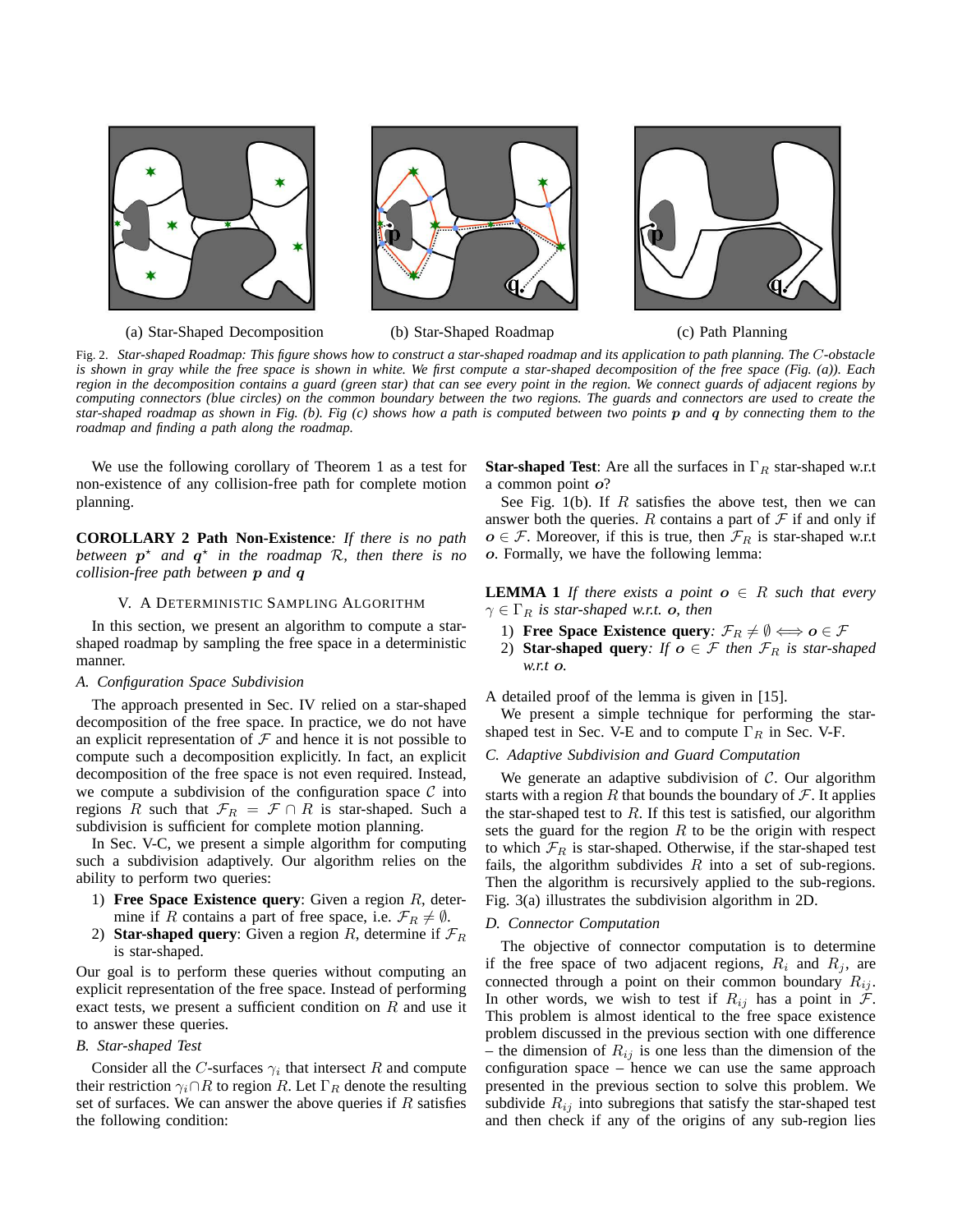







Fig. 2. Star-shaped Roadmap: This figure shows how to construct a star-shaped roadmap and its application to path planning. The C-obstacle is shown in gray while the free space is shown in white. We first compute a star-shaped decomposition of the free space (Fig. (a)). Each region in the decomposition contains a guard (green star) that can see every point in the region. We connect guards of adjacent regions by computing connectors (blue circles) on the common boundary between the two regions. The guards and connectors are used to create the star-shaped roadmap as shown in Fig. (b). Fig (c) shows how a path is computed between two points  $p$  and  $q$  by connecting them to the *roadmap and finding a path along the roadmap.*

We use the following corollary of Theorem 1 as a test for non-existence of any collision-free path for complete motion planning.

**COROLLARY 2 Path Non-Existence***: If there is no path* between  $p^*$  *and*  $q^*$  *in the roadmap*  $R$ *, then there is no collision-free path between* p *and* q

#### V. A DETERMINISTIC SAMPLING ALGORITHM

In this section, we present an algorithm to compute a starshaped roadmap by sampling the free space in a deterministic manner.

# *A. Configuration Space Subdivision*

The approach presented in Sec. IV relied on a star-shaped decomposition of the free space. In practice, we do not have an explicit representation of  $\mathcal F$  and hence it is not possible to compute such a decomposition explicitly. In fact, an explicit decomposition of the free space is not even required. Instead, we compute a subdivision of the configuration space  $\mathcal C$  into regions R such that  $\mathcal{F}_R = \mathcal{F} \cap R$  is star-shaped. Such a subdivision is sufficient for complete motion planning.

In Sec. V-C, we present a simple algorithm for computing such a subdivision adaptively. Our algorithm relies on the ability to perform two queries:

- 1) **Free Space Existence query**: Given a region R, determine if R contains a part of free space, i.e.  $\mathcal{F}_R \neq \emptyset$ .
- 2) **Star-shaped query**: Given a region R, determine if  $\mathcal{F}_R$ is star-shaped.

Our goal is to perform these queries without computing an explicit representation of the free space. Instead of performing exact tests, we present a sufficient condition on  $R$  and use it to answer these queries.

# *B. Star-shaped Test*

Consider all the C-surfaces  $\gamma_i$  that intersect R and compute their restriction  $\gamma_i \cap R$  to region R. Let  $\Gamma_R$  denote the resulting set of surfaces. We can answer the above queries if  $R$  satisfies the following condition:

**Star-shaped Test**: Are all the surfaces in  $\Gamma_R$  star-shaped w.r.t a common point o?

See Fig. 1(b). If  $R$  satisfies the above test, then we can answer both the queries. R contains a part of  $\mathcal F$  if and only if  $o \in \mathcal{F}$ . Moreover, if this is true, then  $\mathcal{F}_R$  is star-shaped w.r.t o. Formally, we have the following lemma:

**LEMMA 1** *If there exists a point*  $o \in R$  *such that every*  $\gamma \in \Gamma_R$  *is star-shaped w.r.t.* **o**, *then* 

- 1) **Free Space Existence query**:  $\mathcal{F}_R \neq \emptyset \Longleftrightarrow o \in \mathcal{F}$
- 2) **Star-shaped query**: If  $o \in \mathcal{F}$  then  $\mathcal{F}_R$  is star-shaped *w.r.t* o*.*

A detailed proof of the lemma is given in [15].

We present a simple technique for performing the starshaped test in Sec. V-E and to compute  $\Gamma_R$  in Sec. V-F.

*C. Adaptive Subdivision and Guard Computation*

We generate an adaptive subdivision of  $C$ . Our algorithm starts with a region R that bounds the boundary of  $\mathcal F$ . It applies the star-shaped test to  $R$ . If this test is satisfied, our algorithm sets the guard for the region  $R$  to be the origin with respect to which  $\mathcal{F}_R$  is star-shaped. Otherwise, if the star-shaped test fails, the algorithm subdivides  $R$  into a set of sub-regions. Then the algorithm is recursively applied to the sub-regions. Fig. 3(a) illustrates the subdivision algorithm in 2D.

# *D. Connector Computation*

The objective of connector computation is to determine if the free space of two adjacent regions,  $R_i$  and  $R_j$ , are connected through a point on their common boundary  $R_{ij}$ . In other words, we wish to test if  $R_{ij}$  has a point in  $\mathcal{F}$ . This problem is almost identical to the free space existence problem discussed in the previous section with one difference – the dimension of  $R_{ij}$  is one less than the dimension of the configuration space – hence we can use the same approach presented in the previous section to solve this problem. We subdivide  $R_{ij}$  into subregions that satisfy the star-shaped test and then check if any of the origins of any sub-region lies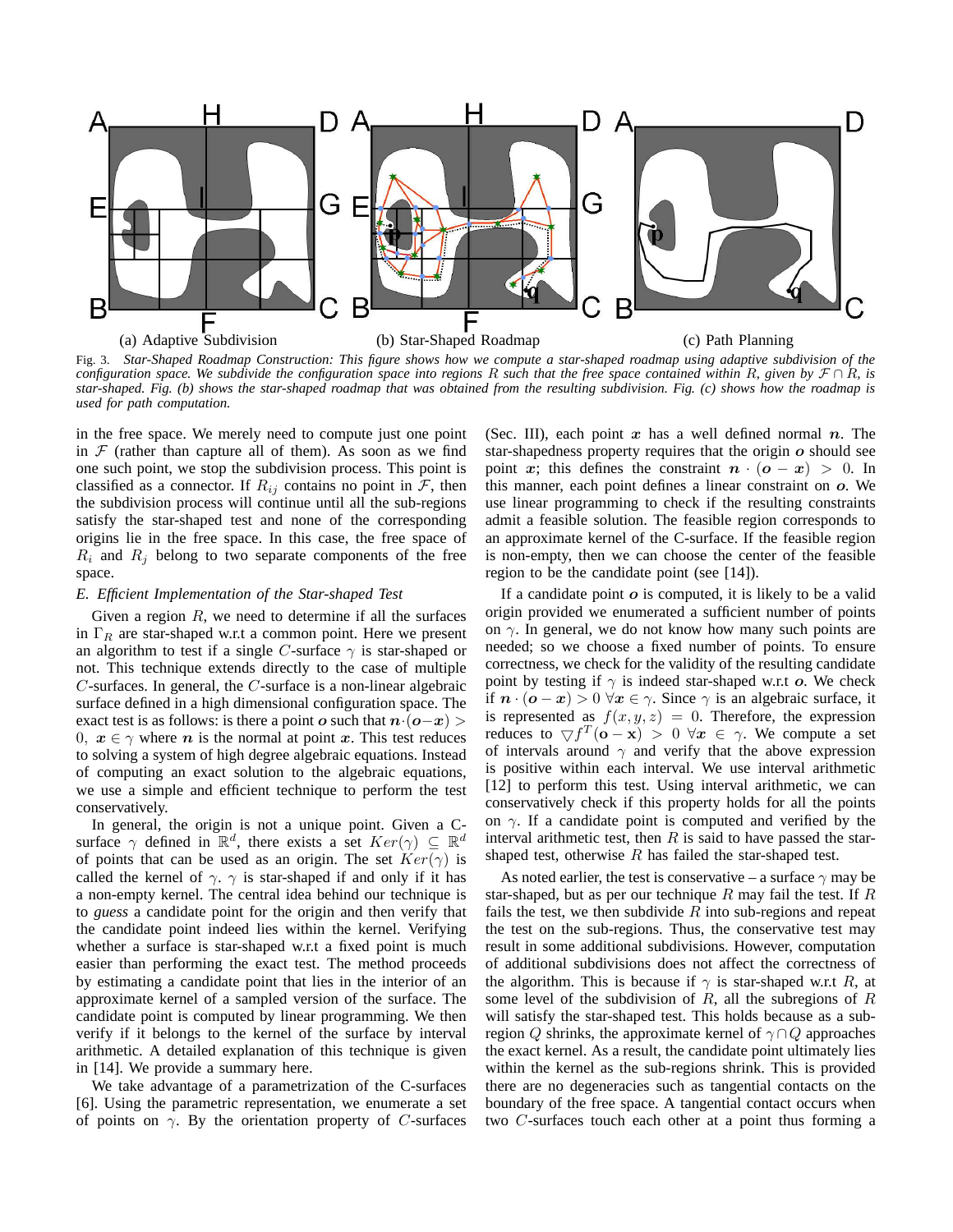

Fig. 3. Star-Shaped Roadmap Construction: This figure shows how we compute a star-shaped roadmap using adaptive subdivision of the configuration space. We subdivide the configuration space into regions R such that the free space contained within R, given by  $\mathcal{F} \cap R$ , is star-shaped. Fig. (b) shows the star-shaped roadmap that was obtained from the resulting subdivision. Fig. (c) shows how the roadmap is *used for path computation.*

in the free space. We merely need to compute just one point in  $F$  (rather than capture all of them). As soon as we find one such point, we stop the subdivision process. This point is classified as a connector. If  $R_{ij}$  contains no point in  $\mathcal{F}$ , then the subdivision process will continue until all the sub-regions satisfy the star-shaped test and none of the corresponding origins lie in the free space. In this case, the free space of  $R_i$  and  $R_j$  belong to two separate components of the free space.

#### *E. Efficient Implementation of the Star-shaped Test*

Given a region  $R$ , we need to determine if all the surfaces in  $\Gamma_R$  are star-shaped w.r.t a common point. Here we present an algorithm to test if a single C-surface  $\gamma$  is star-shaped or not. This technique extends directly to the case of multiple  $C$ -surfaces. In general, the  $C$ -surface is a non-linear algebraic surface defined in a high dimensional configuration space. The exact test is as follows: is there a point o such that  $n \cdot (o-x)$ 0,  $x \in \gamma$  where *n* is the normal at point *x*. This test reduces to solving a system of high degree algebraic equations. Instead of computing an exact solution to the algebraic equations, we use a simple and efficient technique to perform the test conservatively.

In general, the origin is not a unique point. Given a Csurface  $\gamma$  defined in  $\mathbb{R}^d$ , there exists a set  $Ker(\gamma) \subseteq \mathbb{R}^d$ of points that can be used as an origin. The set  $Ker(\gamma)$  is called the kernel of  $\gamma$ .  $\gamma$  is star-shaped if and only if it has a non-empty kernel. The central idea behind our technique is to *guess* a candidate point for the origin and then verify that the candidate point indeed lies within the kernel. Verifying whether a surface is star-shaped w.r.t a fixed point is much easier than performing the exact test. The method proceeds by estimating a candidate point that lies in the interior of an approximate kernel of a sampled version of the surface. The candidate point is computed by linear programming. We then verify if it belongs to the kernel of the surface by interval arithmetic. A detailed explanation of this technique is given in [14]. We provide a summary here.

We take advantage of a parametrization of the C-surfaces [6]. Using the parametric representation, we enumerate a set of points on  $\gamma$ . By the orientation property of C-surfaces

(Sec. III), each point  $x$  has a well defined normal  $n$ . The star-shapedness property requires that the origin  $\boldsymbol{o}$  should see point x; this defines the constraint  $n \cdot (o - x) > 0$ . In this manner, each point defines a linear constraint on o. We use linear programming to check if the resulting constraints admit a feasible solution. The feasible region corresponds to an approximate kernel of the C-surface. If the feasible region is non-empty, then we can choose the center of the feasible region to be the candidate point (see [14]).

If a candidate point  $\boldsymbol{o}$  is computed, it is likely to be a valid origin provided we enumerated a sufficient number of points on  $\gamma$ . In general, we do not know how many such points are needed; so we choose a fixed number of points. To ensure correctness, we check for the validity of the resulting candidate point by testing if  $\gamma$  is indeed star-shaped w.r.t o. We check if  $n \cdot (o - x) > 0 \,\forall x \in \gamma$ . Since  $\gamma$  is an algebraic surface, it is represented as  $f(x, y, z) = 0$ . Therefore, the expression reduces to  $\nabla f^T(\mathbf{o} - \mathbf{x}) > 0 \ \forall \mathbf{x} \in \gamma$ . We compute a set of intervals around  $\gamma$  and verify that the above expression is positive within each interval. We use interval arithmetic [12] to perform this test. Using interval arithmetic, we can conservatively check if this property holds for all the points on  $\gamma$ . If a candidate point is computed and verified by the interval arithmetic test, then  $R$  is said to have passed the starshaped test, otherwise  $R$  has failed the star-shaped test.

As noted earlier, the test is conservative – a surface  $\gamma$  may be star-shaped, but as per our technique R may fail the test. If R fails the test, we then subdivide  $R$  into sub-regions and repeat the test on the sub-regions. Thus, the conservative test may result in some additional subdivisions. However, computation of additional subdivisions does not affect the correctness of the algorithm. This is because if  $\gamma$  is star-shaped w.r.t R, at some level of the subdivision of  $R$ , all the subregions of  $R$ will satisfy the star-shaped test. This holds because as a subregion Q shrinks, the approximate kernel of  $\gamma \cap Q$  approaches the exact kernel. As a result, the candidate point ultimately lies within the kernel as the sub-regions shrink. This is provided there are no degeneracies such as tangential contacts on the boundary of the free space. A tangential contact occurs when two C-surfaces touch each other at a point thus forming a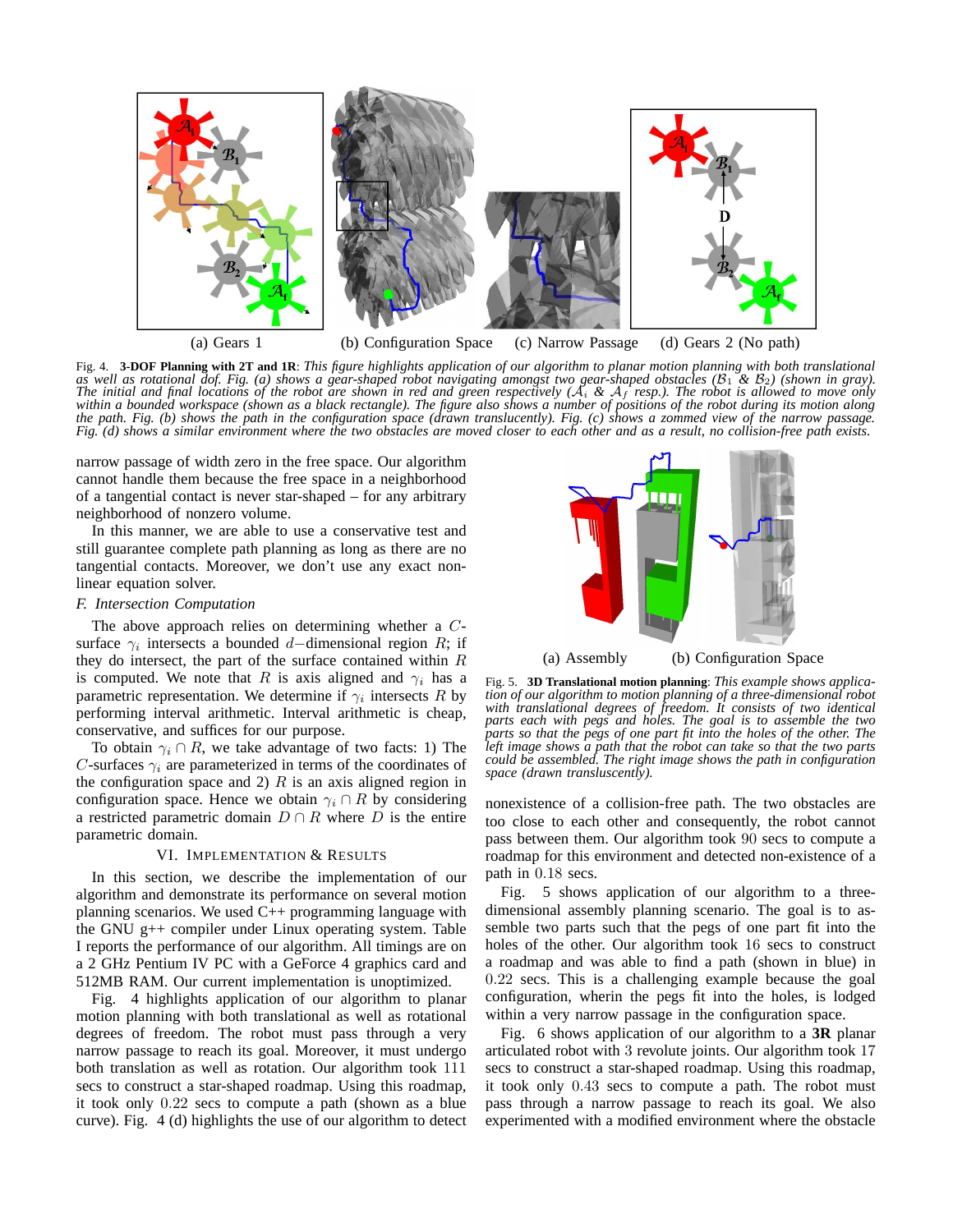

Fig. 4. 3-DOF Planning with 2T and 1R: This figure highlights application of our algorithm to planar motion planning with both translational as well as rotational dof. Fig. (a) shows a gear-shaped robot navigating amongst two gear-shaped obstacles ( $B_1$  &  $B_2$ ) (shown in gray). The initial and final locations of the robot are shown in red and green respectively  $(A_i \& A_f$  resp.). The robot is allowed to move only within a bounded workspace (shown as a black rectangle). The figure also shows a number of positions of the robot during its motion along the path. Fig. (b) shows the path in the configuration space (drawn translucently). Fig. (c) shows a zommed view of the narrow passage. Fig. (d) shows a similar environment where the two obstacles are moved closer to each other and as a result, no collision-free path exists.

narrow passage of width zero in the free space. Our algorithm cannot handle them because the free space in a neighborhood of a tangential contact is never star-shaped – for any arbitrary neighborhood of nonzero volume.

In this manner, we are able to use a conservative test and still guarantee complete path planning as long as there are no tangential contacts. Moreover, we don't use any exact nonlinear equation solver.

#### *F. Intersection Computation*

The above approach relies on determining whether a Csurface  $\gamma_i$  intersects a bounded d–dimensional region R; if they do intersect, the part of the surface contained within  $R$ is computed. We note that R is axis aligned and  $\gamma_i$  has a parametric representation. We determine if  $\gamma_i$  intersects R by performing interval arithmetic. Interval arithmetic is cheap, conservative, and suffices for our purpose.

To obtain  $\gamma_i \cap R$ , we take advantage of two facts: 1) The C-surfaces  $\gamma_i$  are parameterized in terms of the coordinates of the configuration space and 2)  $R$  is an axis aligned region in configuration space. Hence we obtain  $\gamma_i \cap R$  by considering a restricted parametric domain  $D \cap R$  where D is the entire parametric domain.

# VI. IMPLEMENTATION & RESULTS

In this section, we describe the implementation of our algorithm and demonstrate its performance on several motion planning scenarios. We used C++ programming language with the GNU g++ compiler under Linux operating system. Table I reports the performance of our algorithm. All timings are on a 2 GHz Pentium IV PC with a GeForce 4 graphics card and 512MB RAM. Our current implementation is unoptimized.

Fig. 4 highlights application of our algorithm to planar motion planning with both translational as well as rotational degrees of freedom. The robot must pass through a very narrow passage to reach its goal. Moreover, it must undergo both translation as well as rotation. Our algorithm took 111 secs to construct a star-shaped roadmap. Using this roadmap, it took only 0.22 secs to compute a path (shown as a blue curve). Fig. 4 (d) highlights the use of our algorithm to detect



Fig. 5. **3D Translational motion planning**: *This example shows application of our algorithm to motion planning of a three-dimensional robot with translational degrees of freedom. It consists of two identical parts each with pegs and holes. The goal is to assemble the two parts so that the pegs of one part fit into the holes of the other. The left image shows a path that the robot can take so that the two parts could be assembled. The right image shows the path in configuration space (drawn transluscently).*

nonexistence of a collision-free path. The two obstacles are too close to each other and consequently, the robot cannot pass between them. Our algorithm took 90 secs to compute a roadmap for this environment and detected non-existence of a path in 0.18 secs.

Fig. 5 shows application of our algorithm to a threedimensional assembly planning scenario. The goal is to assemble two parts such that the pegs of one part fit into the holes of the other. Our algorithm took 16 secs to construct a roadmap and was able to find a path (shown in blue) in 0.22 secs. This is a challenging example because the goal configuration, wherin the pegs fit into the holes, is lodged within a very narrow passage in the configuration space.

Fig. 6 shows application of our algorithm to a **3R** planar articulated robot with 3 revolute joints. Our algorithm took 17 secs to construct a star-shaped roadmap. Using this roadmap, it took only 0.43 secs to compute a path. The robot must pass through a narrow passage to reach its goal. We also experimented with a modified environment where the obstacle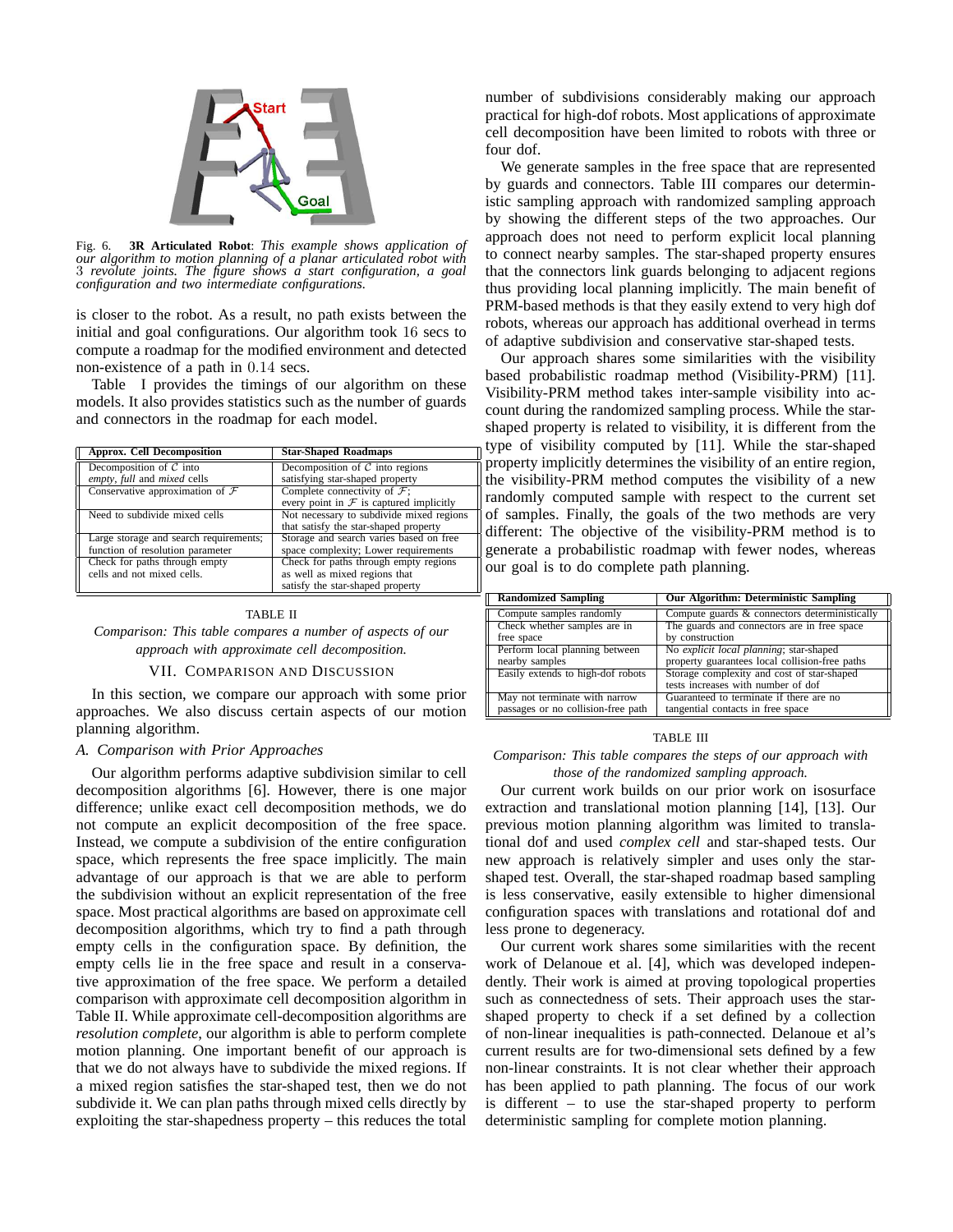

Fig. 6. **3R Articulated Robot**: *This example shows application of our algorithm to motion planning of a planar articulated robot with* 3 *revolute joints. The figure shows a start configuration, a goal configuration and two intermediate configurations.*

is closer to the robot. As a result, no path exists between the initial and goal configurations. Our algorithm took 16 secs to compute a roadmap for the modified environment and detected non-existence of a path in 0.14 secs.

Table I provides the timings of our algorithm on these models. It also provides statistics such as the number of guards and connectors in the roadmap for each model.

| <b>Approx.</b> Cell Decomposition                                          | <b>Star-Shaped Roadmaps</b>                                                                                |
|----------------------------------------------------------------------------|------------------------------------------------------------------------------------------------------------|
| Decomposition of $C$ into<br>empty, full and mixed cells                   | Decomposition of $C$ into regions<br>satisfying star-shaped property                                       |
| Conservative approximation of $\mathcal F$                                 | Complete connectivity of $\mathcal{F}$ ;<br>every point in $\mathcal F$ is captured implicitly             |
| Need to subdivide mixed cells                                              | Not necessary to subdivide mixed regions<br>that satisfy the star-shaped property                          |
| Large storage and search requirements;<br>function of resolution parameter | Storage and search varies based on free<br>space complexity; Lower requirements                            |
| Check for paths through empty<br>cells and not mixed cells.                | Check for paths through empty regions<br>as well as mixed regions that<br>satisfy the star-shaped property |

#### TABLE II

*Comparison: This table compares a number of aspects of our approach with approximate cell decomposition.*

#### VII. COMPARISON AND DISCUSSION

In this section, we compare our approach with some prior approaches. We also discuss certain aspects of our motion planning algorithm.

#### *A. Comparison with Prior Approaches*

Our algorithm performs adaptive subdivision similar to cell decomposition algorithms [6]. However, there is one major difference; unlike exact cell decomposition methods, we do not compute an explicit decomposition of the free space. Instead, we compute a subdivision of the entire configuration space, which represents the free space implicitly. The main advantage of our approach is that we are able to perform the subdivision without an explicit representation of the free space. Most practical algorithms are based on approximate cell decomposition algorithms, which try to find a path through empty cells in the configuration space. By definition, the empty cells lie in the free space and result in a conservative approximation of the free space. We perform a detailed comparison with approximate cell decomposition algorithm in Table II. While approximate cell-decomposition algorithms are *resolution complete*, our algorithm is able to perform complete motion planning. One important benefit of our approach is that we do not always have to subdivide the mixed regions. If a mixed region satisfies the star-shaped test, then we do not subdivide it. We can plan paths through mixed cells directly by exploiting the star-shapedness property – this reduces the total number of subdivisions considerably making our approach practical for high-dof robots. Most applications of approximate cell decomposition have been limited to robots with three or four dof.

We generate samples in the free space that are represented by guards and connectors. Table III compares our deterministic sampling approach with randomized sampling approach by showing the different steps of the two approaches. Our approach does not need to perform explicit local planning to connect nearby samples. The star-shaped property ensures that the connectors link guards belonging to adjacent regions thus providing local planning implicitly. The main benefit of PRM-based methods is that they easily extend to very high dof robots, whereas our approach has additional overhead in terms of adaptive subdivision and conservative star-shaped tests.

Our approach shares some similarities with the visibility based probabilistic roadmap method (Visibility-PRM) [11]. Visibility-PRM method takes inter-sample visibility into account during the randomized sampling process. While the starshaped property is related to visibility, it is different from the type of visibility computed by [11]. While the star-shaped property implicitly determines the visibility of an entire region, the visibility-PRM method computes the visibility of a new randomly computed sample with respect to the current set of samples. Finally, the goals of the two methods are very different: The objective of the visibility-PRM method is to generate a probabilistic roadmap with fewer nodes, whereas our goal is to do complete path planning.

| <b>Randomized Sampling</b>         | <b>Our Algorithm: Deterministic Sampling</b>   |
|------------------------------------|------------------------------------------------|
| Compute samples randomly           | Compute guards & connectors deterministically  |
| Check whether samples are in       | The guards and connectors are in free space    |
| free space                         | by construction                                |
| Perform local planning between     | No explicit local planning; star-shaped        |
| nearby samples                     | property guarantees local collision-free paths |
| Easily extends to high-dof robots  | Storage complexity and cost of star-shaped     |
|                                    | tests increases with number of dof             |
| May not terminate with narrow      | Guaranteed to terminate if there are no        |
| passages or no collision-free path | tangential contacts in free space              |

#### TABLE III

#### *Comparison: This table compares the steps of our approach with those of the randomized sampling approach.*

Our current work builds on our prior work on isosurface extraction and translational motion planning [14], [13]. Our previous motion planning algorithm was limited to translational dof and used *complex cell* and star-shaped tests. Our new approach is relatively simpler and uses only the starshaped test. Overall, the star-shaped roadmap based sampling is less conservative, easily extensible to higher dimensional configuration spaces with translations and rotational dof and less prone to degeneracy.

Our current work shares some similarities with the recent work of Delanoue et al. [4], which was developed independently. Their work is aimed at proving topological properties such as connectedness of sets. Their approach uses the starshaped property to check if a set defined by a collection of non-linear inequalities is path-connected. Delanoue et al's current results are for two-dimensional sets defined by a few non-linear constraints. It is not clear whether their approach has been applied to path planning. The focus of our work is different – to use the star-shaped property to perform deterministic sampling for complete motion planning.